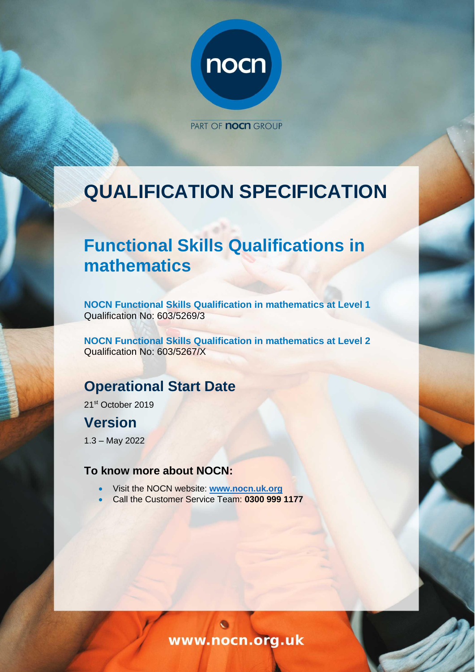

PART OF **NOCH** GROUP

# **QUALIFICATION SPECIFICATION**

# **Functional Skills Qualifications in mathematics**

**NOCN Functional Skills Qualification in mathematics at Level 1**  Qualification No: 603/5269/3

**NOCN Functional Skills Qualification in mathematics at Level 2**  Qualification No: 603/5267/X

# **Operational Start Date**

21st October 2019

# **Version**

1.3 – May 2022

# **To know more about NOCN:**

- Visit the NOCN website: **[www.nocn.uk.org](http://www.nocn.uk.org/)**
- Call the Customer Service Team: **0300 999 1177**

www.nocn.org.uk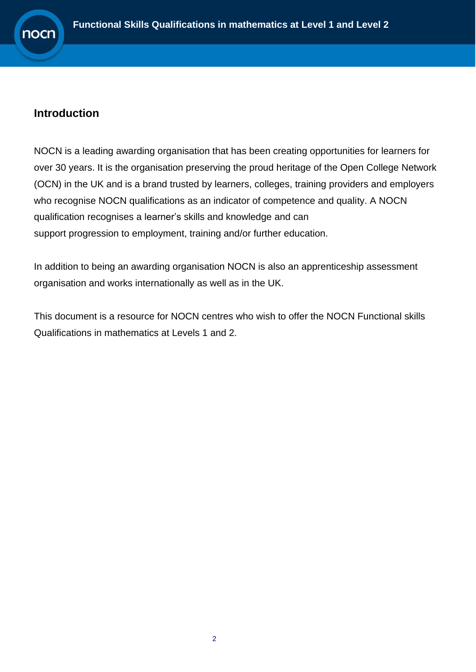

# <span id="page-1-0"></span>**Introduction**

NOCN is a leading awarding organisation that has been creating opportunities for learners for over 30 years. It is the organisation preserving the proud heritage of the Open College Network (OCN) in the UK and is a brand trusted by learners, colleges, training providers and employers who recognise NOCN qualifications as an indicator of competence and quality. A NOCN qualification recognises a learner's skills and knowledge and can support progression to employment, training and/or further education.

In addition to being an awarding organisation NOCN is also an apprenticeship assessment organisation and works internationally as well as in the UK.

This document is a resource for NOCN centres who wish to offer the NOCN Functional skills Qualifications in mathematics at Levels 1 and 2.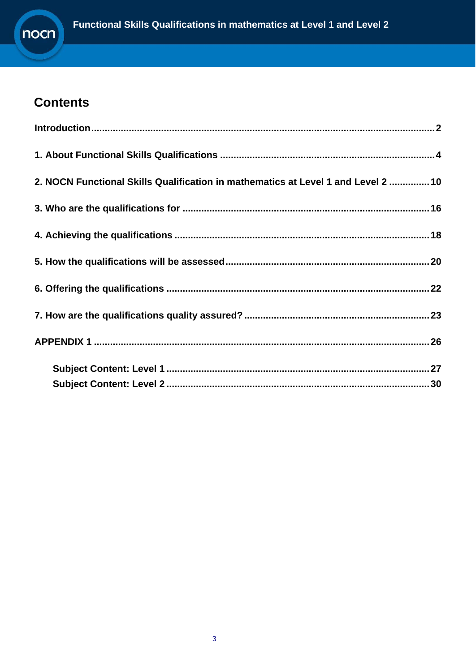

# **Contents**

| 2. NOCN Functional Skills Qualification in mathematics at Level 1 and Level 2  10 |  |
|-----------------------------------------------------------------------------------|--|
|                                                                                   |  |
|                                                                                   |  |
|                                                                                   |  |
|                                                                                   |  |
|                                                                                   |  |
|                                                                                   |  |
|                                                                                   |  |
|                                                                                   |  |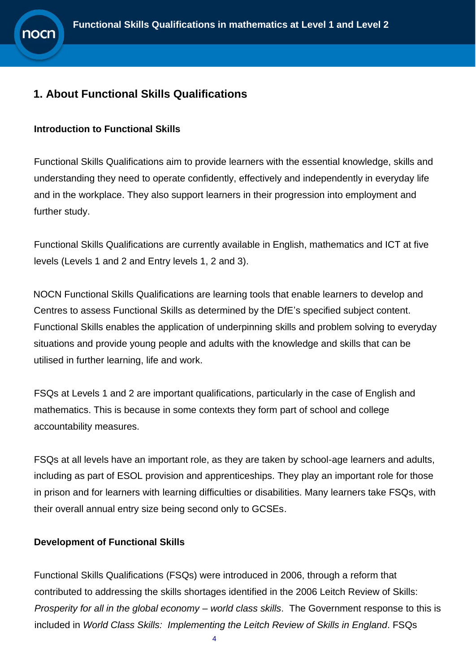# <span id="page-3-0"></span>**1. About Functional Skills Qualifications**

#### **Introduction to Functional Skills**

Functional Skills Qualifications aim to provide learners with the essential knowledge, skills and understanding they need to operate confidently, effectively and independently in everyday life and in the workplace. They also support learners in their progression into employment and further study.

Functional Skills Qualifications are currently available in English, mathematics and ICT at five levels (Levels 1 and 2 and Entry levels 1, 2 and 3).

NOCN Functional Skills Qualifications are learning tools that enable learners to develop and Centres to assess Functional Skills as determined by the DfE's specified subject content. Functional Skills enables the application of underpinning skills and problem solving to everyday situations and provide young people and adults with the knowledge and skills that can be utilised in further learning, life and work.

FSQs at Levels 1 and 2 are important qualifications, particularly in the case of English and mathematics. This is because in some contexts they form part of school and college accountability measures.

FSQs at all levels have an important role, as they are taken by school-age learners and adults, including as part of ESOL provision and apprenticeships. They play an important role for those in prison and for learners with learning difficulties or disabilities. Many learners take FSQs, with their overall annual entry size being second only to GCSEs.

#### **Development of Functional Skills**

Functional Skills Qualifications (FSQs) were introduced in 2006, through a reform that contributed to addressing the skills shortages identified in the 2006 Leitch Review of Skills: *Prosperity for all in the global economy – world class skills*. The Government response to this is included in *World Class Skills: Implementing the Leitch Review of Skills in England*. FSQs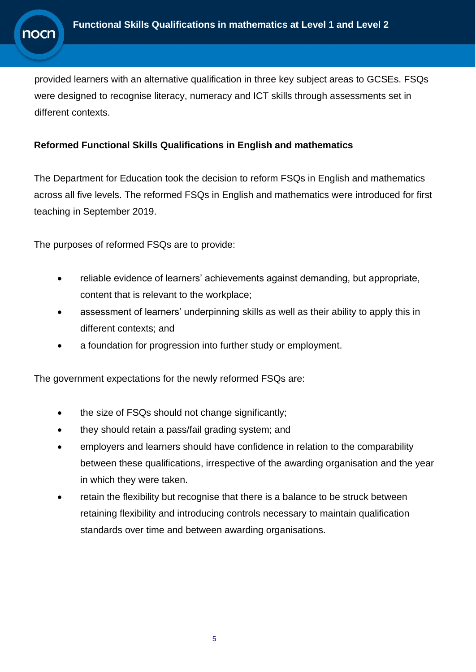provided learners with an alternative qualification in three key subject areas to GCSEs. FSQs were designed to recognise literacy, numeracy and ICT skills through assessments set in different contexts.

#### **Reformed Functional Skills Qualifications in English and mathematics**

The Department for Education took the decision to reform FSQs in English and mathematics across all five levels. The reformed FSQs in English and mathematics were introduced for first teaching in September 2019.

The purposes of reformed FSQs are to provide:

- reliable evidence of learners' achievements against demanding, but appropriate, content that is relevant to the workplace;
- assessment of learners' underpinning skills as well as their ability to apply this in different contexts; and
- a foundation for progression into further study or employment.

The government expectations for the newly reformed FSQs are:

- the size of FSQs should not change significantly;
- they should retain a pass/fail grading system; and
- employers and learners should have confidence in relation to the comparability between these qualifications, irrespective of the awarding organisation and the year in which they were taken.
- retain the flexibility but recognise that there is a balance to be struck between retaining flexibility and introducing controls necessary to maintain qualification standards over time and between awarding organisations.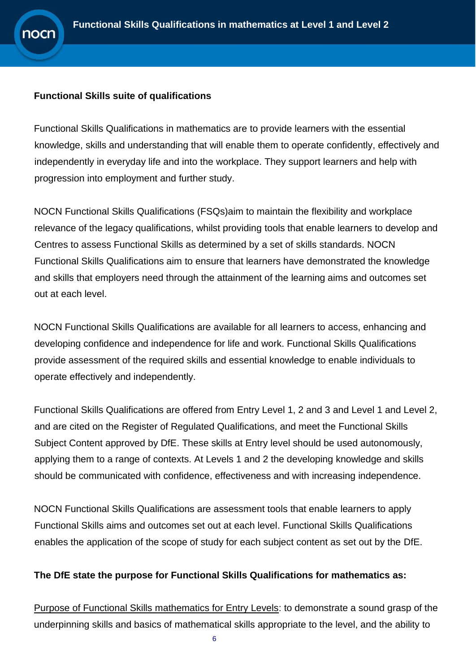#### **Functional Skills suite of qualifications**

Functional Skills Qualifications in mathematics are to provide learners with the essential knowledge, skills and understanding that will enable them to operate confidently, effectively and independently in everyday life and into the workplace. They support learners and help with progression into employment and further study.

NOCN Functional Skills Qualifications (FSQs)aim to maintain the flexibility and workplace relevance of the legacy qualifications, whilst providing tools that enable learners to develop and Centres to assess Functional Skills as determined by a set of skills standards. NOCN Functional Skills Qualifications aim to ensure that learners have demonstrated the knowledge and skills that employers need through the attainment of the learning aims and outcomes set out at each level.

NOCN Functional Skills Qualifications are available for all learners to access, enhancing and developing confidence and independence for life and work. Functional Skills Qualifications provide assessment of the required skills and essential knowledge to enable individuals to operate effectively and independently.

Functional Skills Qualifications are offered from Entry Level 1, 2 and 3 and Level 1 and Level 2, and are cited on the Register of Regulated Qualifications, and meet the Functional Skills Subject Content approved by DfE. These skills at Entry level should be used autonomously, applying them to a range of contexts. At Levels 1 and 2 the developing knowledge and skills should be communicated with confidence, effectiveness and with increasing independence.

NOCN Functional Skills Qualifications are assessment tools that enable learners to apply Functional Skills aims and outcomes set out at each level. Functional Skills Qualifications enables the application of the scope of study for each subject content as set out by the DfE.

#### **The DfE state the purpose for Functional Skills Qualifications for mathematics as:**

Purpose of Functional Skills mathematics for Entry Levels: to demonstrate a sound grasp of the underpinning skills and basics of mathematical skills appropriate to the level, and the ability to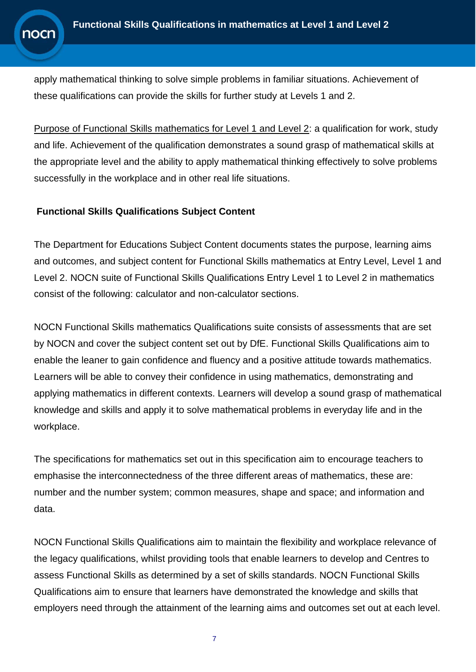apply mathematical thinking to solve simple problems in familiar situations. Achievement of these qualifications can provide the skills for further study at Levels 1 and 2.

Purpose of Functional Skills mathematics for Level 1 and Level 2: a qualification for work, study and life. Achievement of the qualification demonstrates a sound grasp of mathematical skills at the appropriate level and the ability to apply mathematical thinking effectively to solve problems successfully in the workplace and in other real life situations.

#### **Functional Skills Qualifications Subject Content**

The Department for Educations Subject Content documents states the purpose, learning aims and outcomes, and subject content for Functional Skills mathematics at Entry Level, Level 1 and Level 2. NOCN suite of Functional Skills Qualifications Entry Level 1 to Level 2 in mathematics consist of the following: calculator and non-calculator sections.

NOCN Functional Skills mathematics Qualifications suite consists of assessments that are set by NOCN and cover the subject content set out by DfE. Functional Skills Qualifications aim to enable the leaner to gain confidence and fluency and a positive attitude towards mathematics. Learners will be able to convey their confidence in using mathematics, demonstrating and applying mathematics in different contexts. Learners will develop a sound grasp of mathematical knowledge and skills and apply it to solve mathematical problems in everyday life and in the workplace.

The specifications for mathematics set out in this specification aim to encourage teachers to emphasise the interconnectedness of the three different areas of mathematics, these are: number and the number system; common measures, shape and space; and information and data.

NOCN Functional Skills Qualifications aim to maintain the flexibility and workplace relevance of the legacy qualifications, whilst providing tools that enable learners to develop and Centres to assess Functional Skills as determined by a set of skills standards. NOCN Functional Skills Qualifications aim to ensure that learners have demonstrated the knowledge and skills that employers need through the attainment of the learning aims and outcomes set out at each level.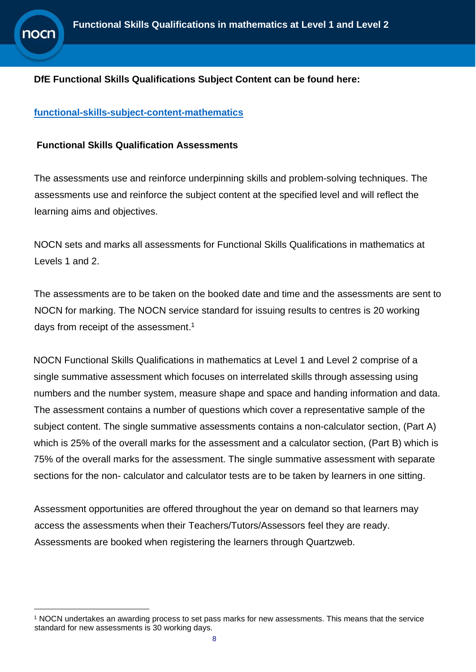#### **DfE Functional Skills Qualifications Subject Content can be found here:**

#### **[functional-skills-subject-content-mathematics](https://www.gov.uk/government/publications/functional-skills-subject-content-mathematics)**

**10Cr** 

#### **Functional Skills Qualification Assessments**

The assessments use and reinforce underpinning skills and problem-solving techniques. The assessments use and reinforce the subject content at the specified level and will reflect the learning aims and objectives.

NOCN sets and marks all assessments for Functional Skills Qualifications in mathematics at Levels 1 and 2.

The assessments are to be taken on the booked date and time and the assessments are sent to NOCN for marking. The NOCN service standard for issuing results to centres is 20 working days from receipt of the assessment.<sup>1</sup>

NOCN Functional Skills Qualifications in mathematics at Level 1 and Level 2 comprise of a single summative assessment which focuses on interrelated skills through assessing using numbers and the number system, measure shape and space and handing information and data. The assessment contains a number of questions which cover a representative sample of the subject content. The single summative assessments contains a non-calculator section, (Part A) which is 25% of the overall marks for the assessment and a calculator section, (Part B) which is 75% of the overall marks for the assessment. The single summative assessment with separate sections for the non- calculator and calculator tests are to be taken by learners in one sitting.

Assessment opportunities are offered throughout the year on demand so that learners may access the assessments when their Teachers/Tutors/Assessors feel they are ready. Assessments are booked when registering the learners through Quartzweb.

<sup>1</sup> NOCN undertakes an awarding process to set pass marks for new assessments. This means that the service standard for new assessments is 30 working days.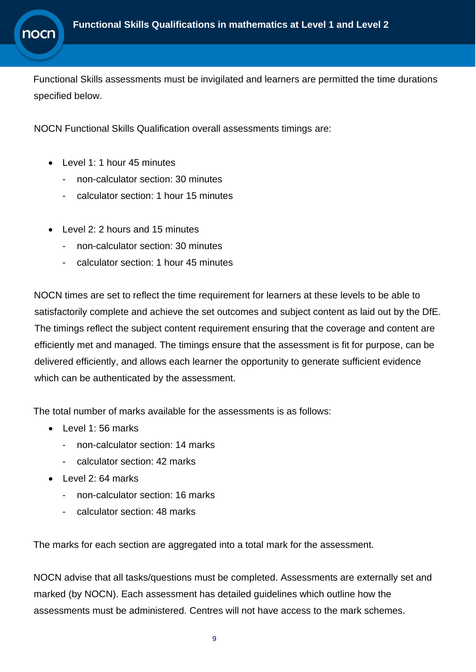

Functional Skills assessments must be invigilated and learners are permitted the time durations specified below.

NOCN Functional Skills Qualification overall assessments timings are:

- Level 1: 1 hour 45 minutes
	- non-calculator section: 30 minutes
	- calculator section: 1 hour 15 minutes
- Level 2: 2 hours and 15 minutes
	- non-calculator section: 30 minutes
	- calculator section: 1 hour 45 minutes

NOCN times are set to reflect the time requirement for learners at these levels to be able to satisfactorily complete and achieve the set outcomes and subject content as laid out by the DfE. The timings reflect the subject content requirement ensuring that the coverage and content are efficiently met and managed. The timings ensure that the assessment is fit for purpose, can be delivered efficiently, and allows each learner the opportunity to generate sufficient evidence which can be authenticated by the assessment.

The total number of marks available for the assessments is as follows:

- Level 1:56 marks
	- non-calculator section: 14 marks
	- calculator section: 42 marks
- Level 2: 64 marks
	- non-calculator section: 16 marks
	- calculator section: 48 marks

The marks for each section are aggregated into a total mark for the assessment.

NOCN advise that all tasks/questions must be completed. Assessments are externally set and marked (by NOCN). Each assessment has detailed guidelines which outline how the assessments must be administered. Centres will not have access to the mark schemes.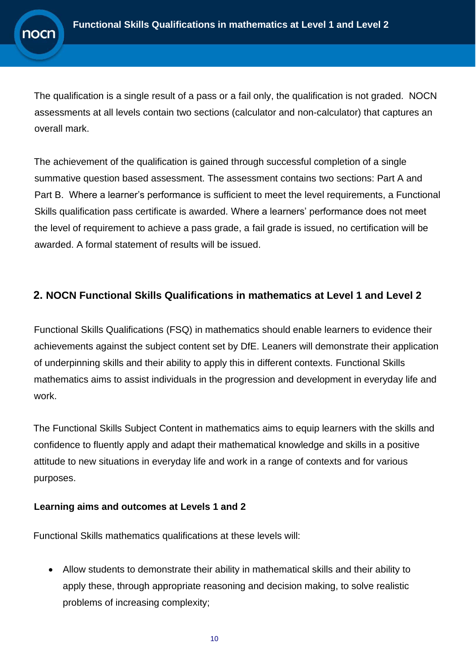The qualification is a single result of a pass or a fail only, the qualification is not graded. NOCN assessments at all levels contain two sections (calculator and non-calculator) that captures an overall mark.

The achievement of the qualification is gained through successful completion of a single summative question based assessment. The assessment contains two sections: Part A and Part B. Where a learner's performance is sufficient to meet the level requirements, a Functional Skills qualification pass certificate is awarded. Where a learners' performance does not meet the level of requirement to achieve a pass grade, a fail grade is issued, no certification will be awarded. A formal statement of results will be issued.

### <span id="page-9-0"></span>**2. NOCN Functional Skills Qualifications in mathematics at Level 1 and Level 2**

Functional Skills Qualifications (FSQ) in mathematics should enable learners to evidence their achievements against the subject content set by DfE. Leaners will demonstrate their application of underpinning skills and their ability to apply this in different contexts. Functional Skills mathematics aims to assist individuals in the progression and development in everyday life and work.

The Functional Skills Subject Content in mathematics aims to equip learners with the skills and confidence to fluently apply and adapt their mathematical knowledge and skills in a positive attitude to new situations in everyday life and work in a range of contexts and for various purposes.

#### **Learning aims and outcomes at Levels 1 and 2**

Functional Skills mathematics qualifications at these levels will:

• Allow students to demonstrate their ability in mathematical skills and their ability to apply these, through appropriate reasoning and decision making, to solve realistic problems of increasing complexity;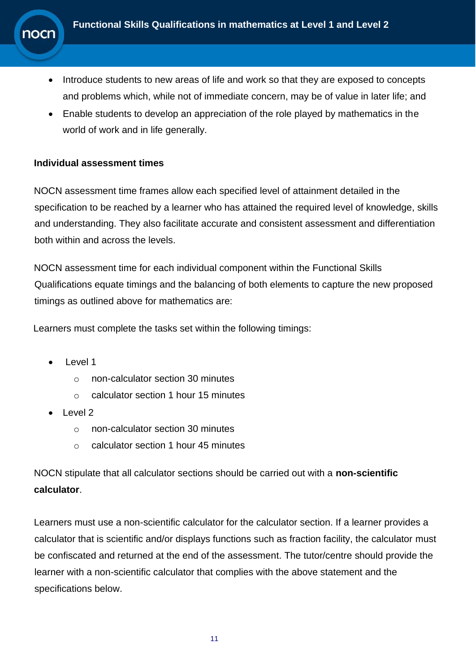- Introduce students to new areas of life and work so that they are exposed to concepts and problems which, while not of immediate concern, may be of value in later life; and
- Enable students to develop an appreciation of the role played by mathematics in the world of work and in life generally.

#### **Individual assessment times**

าocn

NOCN assessment time frames allow each specified level of attainment detailed in the specification to be reached by a learner who has attained the required level of knowledge, skills and understanding. They also facilitate accurate and consistent assessment and differentiation both within and across the levels.

NOCN assessment time for each individual component within the Functional Skills Qualifications equate timings and the balancing of both elements to capture the new proposed timings as outlined above for mathematics are:

Learners must complete the tasks set within the following timings:

- Level 1
	- o non-calculator section 30 minutes
	- o calculator section 1 hour 15 minutes
- Level 2
	- o non-calculator section 30 minutes
	- o calculator section 1 hour 45 minutes

NOCN stipulate that all calculator sections should be carried out with a **non-scientific calculator**.

Learners must use a non-scientific calculator for the calculator section. If a learner provides a calculator that is scientific and/or displays functions such as fraction facility, the calculator must be confiscated and returned at the end of the assessment. The tutor/centre should provide the learner with a non-scientific calculator that complies with the above statement and the specifications below.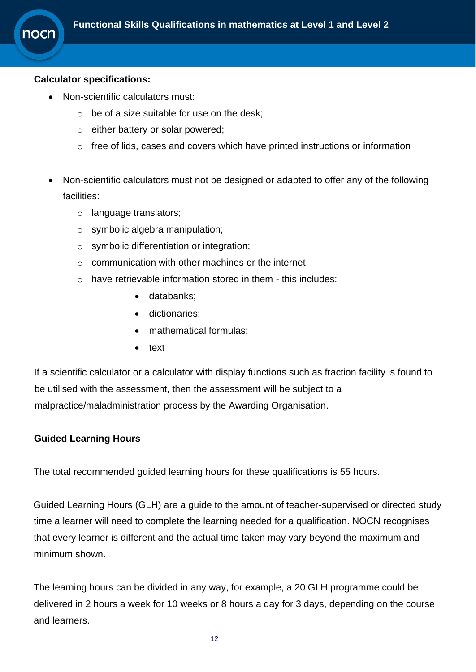

#### **Calculator specifications:**

- Non-scientific calculators must:
	- $\circ$  be of a size suitable for use on the desk;
	- o either battery or solar powered;
	- o free of lids, cases and covers which have printed instructions or information
- Non-scientific calculators must not be designed or adapted to offer any of the following facilities:
	- o language translators;
	- o symbolic algebra manipulation;
	- o symbolic differentiation or integration;
	- o communication with other machines or the internet
	- o have retrievable information stored in them this includes:
		- databanks;
		- dictionaries;
		- mathematical formulas:
		- text

If a scientific calculator or a calculator with display functions such as fraction facility is found to be utilised with the assessment, then the assessment will be subject to a malpractice/maladministration process by the Awarding Organisation.

#### **Guided Learning Hours**

The total recommended guided learning hours for these qualifications is 55 hours.

Guided Learning Hours (GLH) are a guide to the amount of teacher-supervised or directed study time a learner will need to complete the learning needed for a qualification. NOCN recognises that every learner is different and the actual time taken may vary beyond the maximum and minimum shown.

The learning hours can be divided in any way, for example, a 20 GLH programme could be delivered in 2 hours a week for 10 weeks or 8 hours a day for 3 days, depending on the course and learners.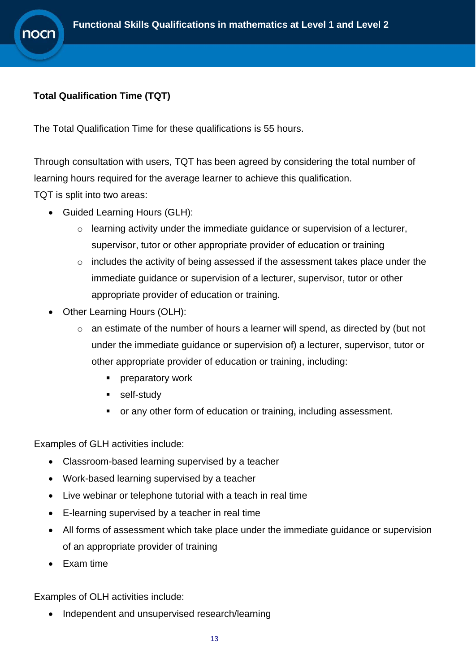### **Total Qualification Time (TQT)**

**10Cr** 

The Total Qualification Time for these qualifications is 55 hours.

Through consultation with users, TQT has been agreed by considering the total number of learning hours required for the average learner to achieve this qualification.

TQT is split into two areas:

- Guided Learning Hours (GLH):
	- $\circ$  learning activity under the immediate guidance or supervision of a lecturer, supervisor, tutor or other appropriate provider of education or training
	- $\circ$  includes the activity of being assessed if the assessment takes place under the immediate guidance or supervision of a lecturer, supervisor, tutor or other appropriate provider of education or training.
- Other Learning Hours (OLH):
	- $\circ$  an estimate of the number of hours a learner will spend, as directed by (but not under the immediate guidance or supervision of) a lecturer, supervisor, tutor or other appropriate provider of education or training, including:
		- **•** preparatory work
		- self-study
		- or any other form of education or training, including assessment.

Examples of GLH activities include:

- Classroom-based learning supervised by a teacher
- Work-based learning supervised by a teacher
- Live webinar or telephone tutorial with a teach in real time
- E-learning supervised by a teacher in real time
- All forms of assessment which take place under the immediate guidance or supervision of an appropriate provider of training
- Exam time

Examples of OLH activities include:

• Independent and unsupervised research/learning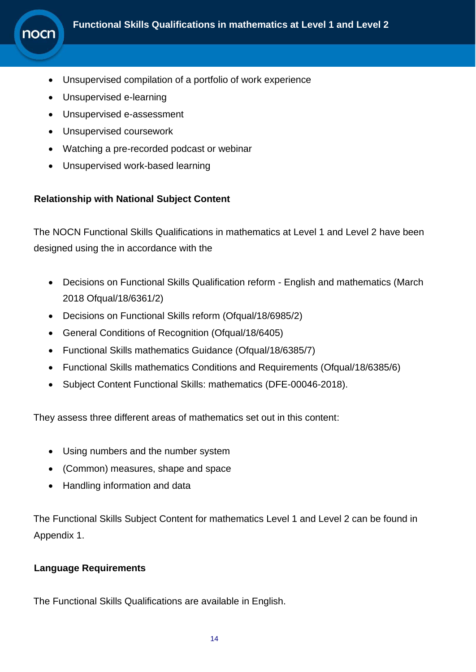

- Unsupervised compilation of a portfolio of work experience
- Unsupervised e-learning
- Unsupervised e-assessment
- Unsupervised coursework
- Watching a pre-recorded podcast or webinar
- Unsupervised work-based learning

#### **Relationship with National Subject Content**

The NOCN Functional Skills Qualifications in mathematics at Level 1 and Level 2 have been designed using the in accordance with the

- Decisions on Functional Skills Qualification reform English and mathematics (March 2018 Ofqual/18/6361/2)
- Decisions on Functional Skills reform (Ofqual/18/6985/2)
- General Conditions of Recognition (Ofqual/18/6405)
- Functional Skills mathematics Guidance (Ofqual/18/6385/7)
- Functional Skills mathematics Conditions and Requirements (Ofqual/18/6385/6)
- Subject Content Functional Skills: mathematics (DFE-00046-2018).

They assess three different areas of mathematics set out in this content:

- Using numbers and the number system
- (Common) measures, shape and space
- Handling information and data

The Functional Skills Subject Content for mathematics Level 1 and Level 2 can be found in Appendix 1.

#### **Language Requirements**

The Functional Skills Qualifications are available in English.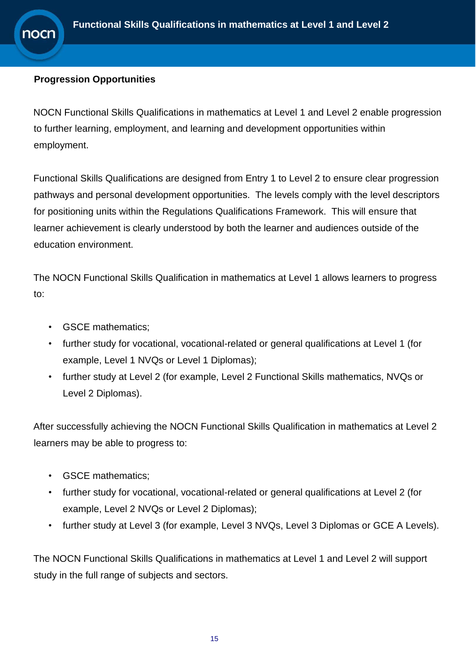#### **Progression Opportunities**

าocn

NOCN Functional Skills Qualifications in mathematics at Level 1 and Level 2 enable progression to further learning, employment, and learning and development opportunities within employment.

Functional Skills Qualifications are designed from Entry 1 to Level 2 to ensure clear progression pathways and personal development opportunities. The levels comply with the level descriptors for positioning units within the Regulations Qualifications Framework. This will ensure that learner achievement is clearly understood by both the learner and audiences outside of the education environment.

The NOCN Functional Skills Qualification in mathematics at Level 1 allows learners to progress to:

- GSCE mathematics;
- further study for vocational, vocational-related or general qualifications at Level 1 (for example, Level 1 NVQs or Level 1 Diplomas);
- further study at Level 2 (for example, Level 2 Functional Skills mathematics, NVQs or Level 2 Diplomas).

After successfully achieving the NOCN Functional Skills Qualification in mathematics at Level 2 learners may be able to progress to:

- GSCE mathematics;
- further study for vocational, vocational-related or general qualifications at Level 2 (for example, Level 2 NVQs or Level 2 Diplomas);
- further study at Level 3 (for example, Level 3 NVQs, Level 3 Diplomas or GCE A Levels).

The NOCN Functional Skills Qualifications in mathematics at Level 1 and Level 2 will support study in the full range of subjects and sectors.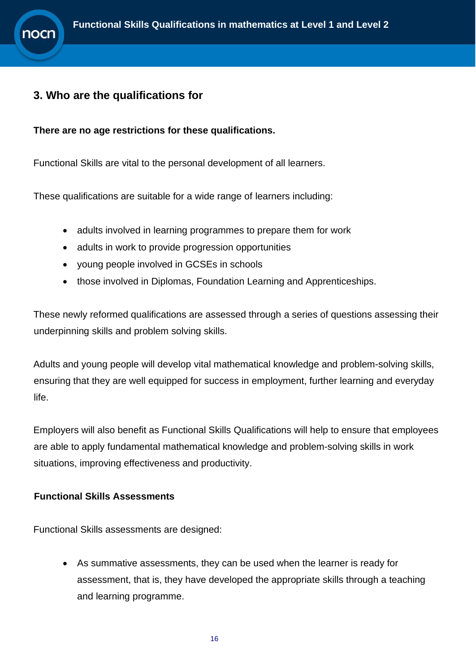# <span id="page-15-0"></span>**3. Who are the qualifications for**

**10Cr** 

**There are no age restrictions for these qualifications.**

Functional Skills are vital to the personal development of all learners.

These qualifications are suitable for a wide range of learners including:

- adults involved in learning programmes to prepare them for work
- adults in work to provide progression opportunities
- young people involved in GCSEs in schools
- those involved in Diplomas, Foundation Learning and Apprenticeships.

These newly reformed qualifications are assessed through a series of questions assessing their underpinning skills and problem solving skills.

Adults and young people will develop vital mathematical knowledge and problem-solving skills, ensuring that they are well equipped for success in employment, further learning and everyday life.

Employers will also benefit as Functional Skills Qualifications will help to ensure that employees are able to apply fundamental mathematical knowledge and problem-solving skills in work situations, improving effectiveness and productivity.

#### **Functional Skills Assessments**

Functional Skills assessments are designed:

• As summative assessments, they can be used when the learner is ready for assessment, that is, they have developed the appropriate skills through a teaching and learning programme.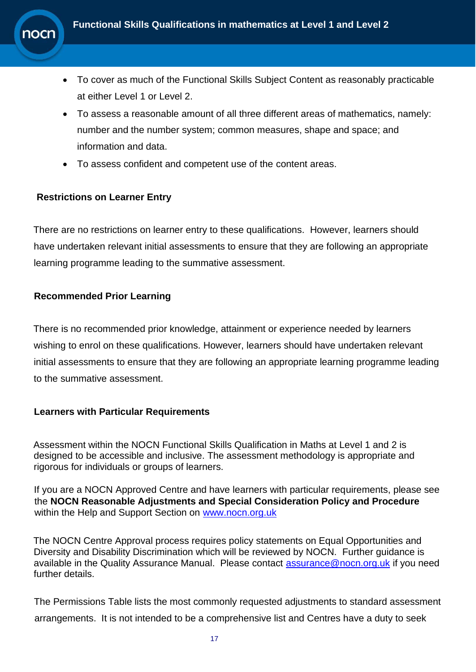

- To cover as much of the Functional Skills Subject Content as reasonably practicable at either Level 1 or Level 2.
- To assess a reasonable amount of all three different areas of mathematics, namely: number and the number system; common measures, shape and space; and information and data.
- To assess confident and competent use of the content areas.

#### **Restrictions on Learner Entry**

There are no restrictions on learner entry to these qualifications. However, learners should have undertaken relevant initial assessments to ensure that they are following an appropriate learning programme leading to the summative assessment.

#### **Recommended Prior Learning**

There is no recommended prior knowledge, attainment or experience needed by learners wishing to enrol on these qualifications. However, learners should have undertaken relevant initial assessments to ensure that they are following an appropriate learning programme leading to the summative assessment.

#### **Learners with Particular Requirements**

Assessment within the NOCN Functional Skills Qualification in Maths at Level 1 and 2 is designed to be accessible and inclusive. The assessment methodology is appropriate and rigorous for individuals or groups of learners.

If you are a NOCN Approved Centre and have learners with particular requirements, please see the **NOCN Reasonable Adjustments and Special Consideration Policy and Procedure** within the Help and Support Section on [www.nocn.org.uk](http://www.nocn.org.uk/)

The NOCN Centre Approval process requires policy statements on Equal Opportunities and Diversity and Disability Discrimination which will be reviewed by NOCN. Further guidance is available in the Quality Assurance Manual. Please contact [assurance@nocn.org.uk](mailto:assurance@nocn.org.uk) if you need further details.

The Permissions Table lists the most commonly requested adjustments to standard assessment arrangements. It is not intended to be a comprehensive list and Centres have a duty to seek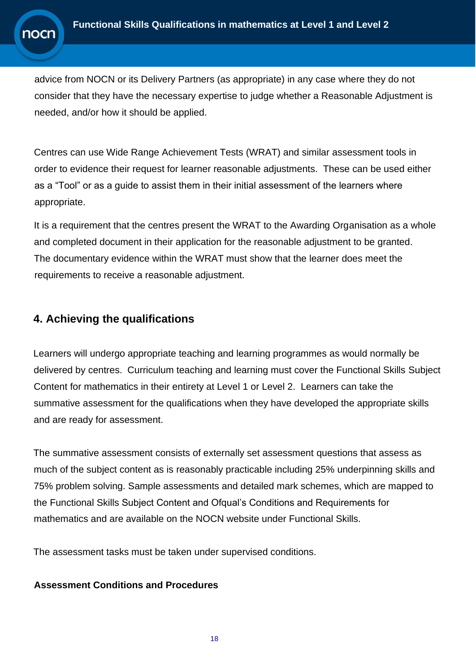advice from NOCN or its Delivery Partners (as appropriate) in any case where they do not consider that they have the necessary expertise to judge whether a Reasonable Adjustment is needed, and/or how it should be applied.

Centres can use Wide Range Achievement Tests (WRAT) and similar assessment tools in order to evidence their request for learner reasonable adjustments. These can be used either as a "Tool" or as a guide to assist them in their initial assessment of the learners where appropriate.

It is a requirement that the centres present the WRAT to the Awarding Organisation as a whole and completed document in their application for the reasonable adjustment to be granted. The documentary evidence within the WRAT must show that the learner does meet the requirements to receive a reasonable adjustment.

# <span id="page-17-0"></span>**4. Achieving the qualifications**

Learners will undergo appropriate teaching and learning programmes as would normally be delivered by centres. Curriculum teaching and learning must cover the Functional Skills Subject Content for mathematics in their entirety at Level 1 or Level 2. Learners can take the summative assessment for the qualifications when they have developed the appropriate skills and are ready for assessment.

The summative assessment consists of externally set assessment questions that assess as much of the subject content as is reasonably practicable including 25% underpinning skills and 75% problem solving. Sample assessments and detailed mark schemes, which are mapped to the Functional Skills Subject Content and Ofqual's Conditions and Requirements for mathematics and are available on the NOCN website under Functional Skills.

The assessment tasks must be taken under supervised conditions.

#### **Assessment Conditions and Procedures**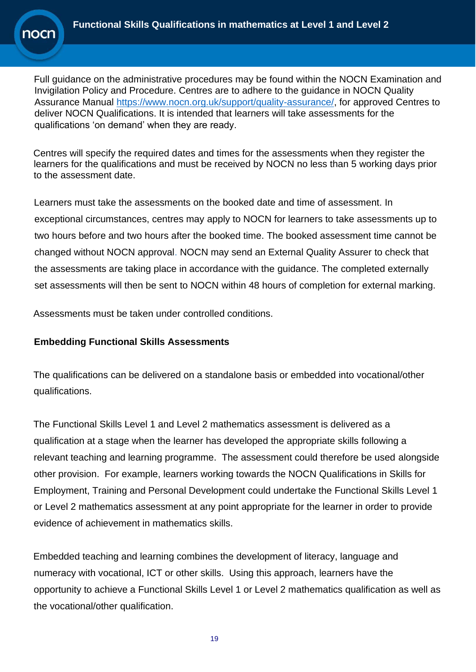

Full guidance on the administrative procedures may be found within the NOCN Examination and Invigilation Policy and Procedure. Centres are to adhere to the guidance in NOCN Quality Assurance Manual [https://www.nocn.org.uk/support/quality-assurance/,](https://www.nocn.org.uk/support/quality-assurance/) for approved Centres to deliver NOCN Qualifications. It is intended that learners will take assessments for the qualifications 'on demand' when they are ready.

Centres will specify the required dates and times for the assessments when they register the learners for the qualifications and must be received by NOCN no less than 5 working days prior to the assessment date.

Learners must take the assessments on the booked date and time of assessment. In exceptional circumstances, centres may apply to NOCN for learners to take assessments up to two hours before and two hours after the booked time. The booked assessment time cannot be changed without NOCN approval. NOCN may send an External Quality Assurer to check that the assessments are taking place in accordance with the guidance. The completed externally set assessments will then be sent to NOCN within 48 hours of completion for external marking.

Assessments must be taken under controlled conditions.

#### **Embedding Functional Skills Assessments**

The qualifications can be delivered on a standalone basis or embedded into vocational/other qualifications.

The Functional Skills Level 1 and Level 2 mathematics assessment is delivered as a qualification at a stage when the learner has developed the appropriate skills following a relevant teaching and learning programme. The assessment could therefore be used alongside other provision. For example, learners working towards the NOCN Qualifications in Skills for Employment, Training and Personal Development could undertake the Functional Skills Level 1 or Level 2 mathematics assessment at any point appropriate for the learner in order to provide evidence of achievement in mathematics skills.

Embedded teaching and learning combines the development of literacy, language and numeracy with vocational, ICT or other skills. Using this approach, learners have the opportunity to achieve a Functional Skills Level 1 or Level 2 mathematics qualification as well as the vocational/other qualification.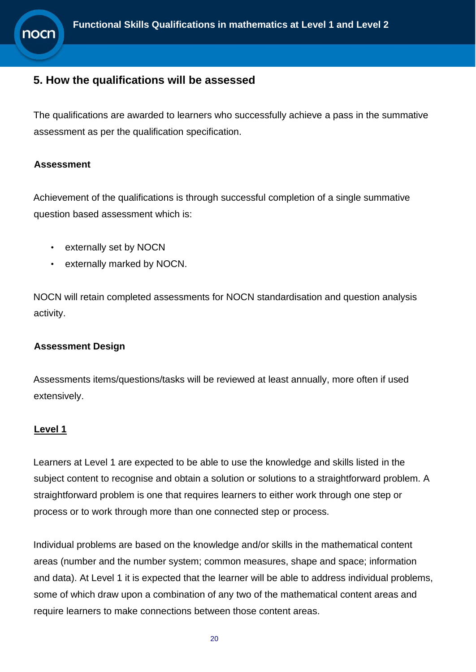## <span id="page-19-0"></span>**5. How the qualifications will be assessed**

The qualifications are awarded to learners who successfully achieve a pass in the summative assessment as per the qualification specification.

#### **Assessment**

Achievement of the qualifications is through successful completion of a single summative question based assessment which is:

- externally set by NOCN
- externally marked by NOCN.

NOCN will retain completed assessments for NOCN standardisation and question analysis activity.

#### **Assessment Design**

Assessments items/questions/tasks will be reviewed at least annually, more often if used extensively.

#### **Level 1**

Learners at Level 1 are expected to be able to use the knowledge and skills listed in the subject content to recognise and obtain a solution or solutions to a straightforward problem. A straightforward problem is one that requires learners to either work through one step or process or to work through more than one connected step or process.

Individual problems are based on the knowledge and/or skills in the mathematical content areas (number and the number system; common measures, shape and space; information and data). At Level 1 it is expected that the learner will be able to address individual problems, some of which draw upon a combination of any two of the mathematical content areas and require learners to make connections between those content areas.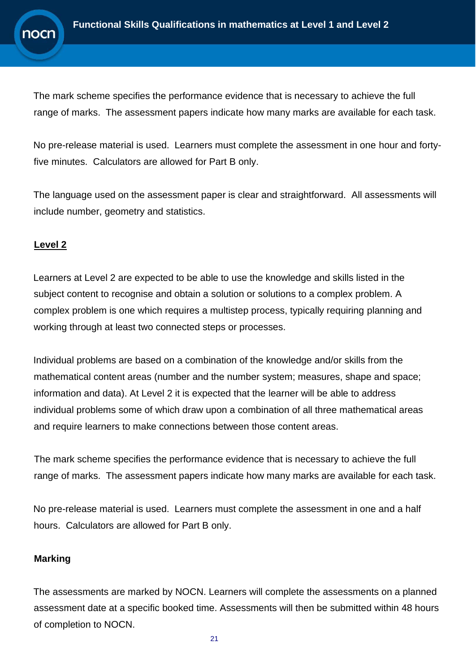The mark scheme specifies the performance evidence that is necessary to achieve the full range of marks. The assessment papers indicate how many marks are available for each task.

No pre-release material is used. Learners must complete the assessment in one hour and fortyfive minutes. Calculators are allowed for Part B only.

The language used on the assessment paper is clear and straightforward. All assessments will include number, geometry and statistics.

#### **Level 2**

Learners at Level 2 are expected to be able to use the knowledge and skills listed in the subject content to recognise and obtain a solution or solutions to a complex problem. A complex problem is one which requires a multistep process, typically requiring planning and working through at least two connected steps or processes.

Individual problems are based on a combination of the knowledge and/or skills from the mathematical content areas (number and the number system; measures, shape and space; information and data). At Level 2 it is expected that the learner will be able to address individual problems some of which draw upon a combination of all three mathematical areas and require learners to make connections between those content areas.

The mark scheme specifies the performance evidence that is necessary to achieve the full range of marks. The assessment papers indicate how many marks are available for each task.

No pre-release material is used. Learners must complete the assessment in one and a half hours. Calculators are allowed for Part B only.

#### **Marking**

The assessments are marked by NOCN. Learners will complete the assessments on a planned assessment date at a specific booked time. Assessments will then be submitted within 48 hours of completion to NOCN.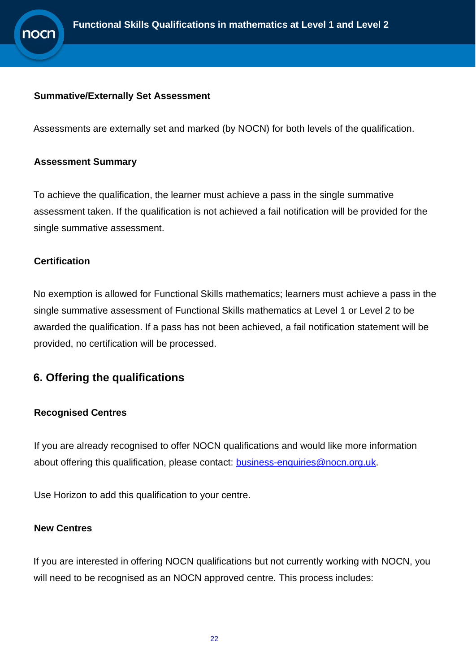

#### **Summative/Externally Set Assessment**

Assessments are externally set and marked (by NOCN) for both levels of the qualification.

#### **Assessment Summary**

To achieve the qualification, the learner must achieve a pass in the single summative assessment taken. If the qualification is not achieved a fail notification will be provided for the single summative assessment.

#### **Certification**

No exemption is allowed for Functional Skills mathematics; learners must achieve a pass in the single summative assessment of Functional Skills mathematics at Level 1 or Level 2 to be awarded the qualification. If a pass has not been achieved, a fail notification statement will be provided, no certification will be processed.

### <span id="page-21-0"></span>**6. Offering the qualifications**

#### **Recognised Centres**

If you are already recognised to offer NOCN qualifications and would like more information about offering this qualification, please contact: [business-enquiries@nocn.org.uk.](mailto:business-enquiries@nocn.org.uk)

Use Horizon to add this qualification to your centre.

#### **New Centres**

If you are interested in offering NOCN qualifications but not currently working with NOCN, you will need to be recognised as an NOCN approved centre. This process includes: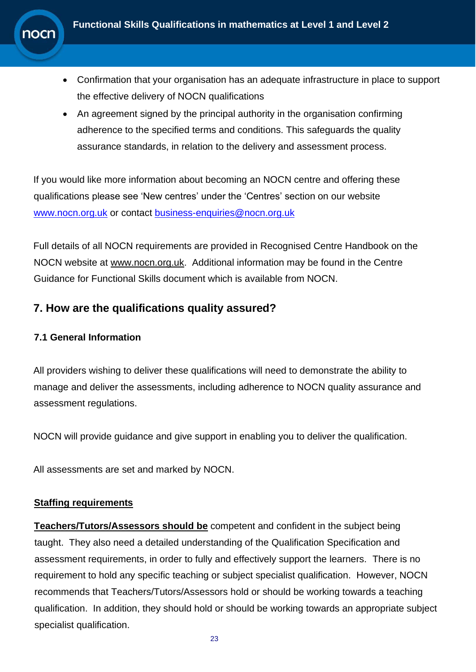

- Confirmation that your organisation has an adequate infrastructure in place to support the effective delivery of NOCN qualifications
- An agreement signed by the principal authority in the organisation confirming adherence to the specified terms and conditions. This safeguards the quality assurance standards, in relation to the delivery and assessment process.

If you would like more information about becoming an NOCN centre and offering these qualifications please see 'New centres' under the 'Centres' section on our website [www.nocn.org.uk](http://www.nocn.org.uk/) or contact [business-enquiries@nocn.org.uk](mailto:business-enquiries@nocn.org.uk)

Full details of all NOCN requirements are provided in Recognised Centre Handbook on the NOCN website at [www.nocn.org.uk.](http://www.nocn.org.uk/) Additional information may be found in the Centre Guidance for Functional Skills document which is available from NOCN.

# <span id="page-22-0"></span>**7. How are the qualifications quality assured?**

### **7.1 General Information**

All providers wishing to deliver these qualifications will need to demonstrate the ability to manage and deliver the assessments, including adherence to NOCN quality assurance and assessment regulations.

NOCN will provide guidance and give support in enabling you to deliver the qualification.

All assessments are set and marked by NOCN.

#### **Staffing requirements**

**Teachers/Tutors/Assessors should be** competent and confident in the subject being taught. They also need a detailed understanding of the Qualification Specification and assessment requirements, in order to fully and effectively support the learners. There is no requirement to hold any specific teaching or subject specialist qualification. However, NOCN recommends that Teachers/Tutors/Assessors hold or should be working towards a teaching qualification. In addition, they should hold or should be working towards an appropriate subject specialist qualification.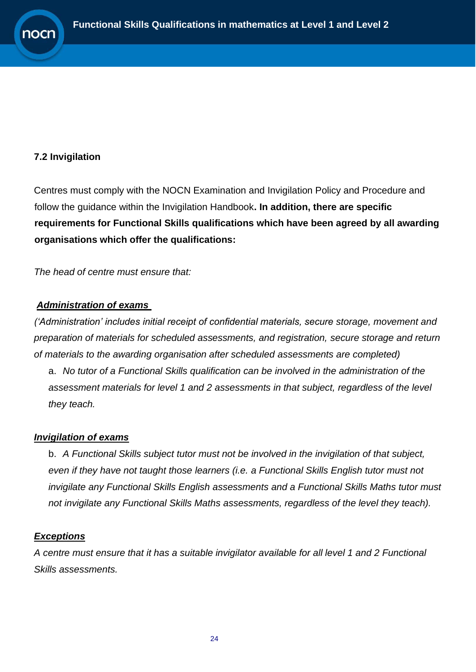#### **7.2 Invigilation**

Centres must comply with the NOCN Examination and Invigilation Policy and Procedure and follow the guidance within the Invigilation Handbook**. In addition, there are specific requirements for Functional Skills qualifications which have been agreed by all awarding organisations which offer the qualifications:** 

*The head of centre must ensure that:*

#### *Administration of exams*

*('Administration' includes initial receipt of confidential materials, secure storage, movement and preparation of materials for scheduled assessments, and registration, secure storage and return of materials to the awarding organisation after scheduled assessments are completed)*

a. *No tutor of a Functional Skills qualification can be involved in the administration of the assessment materials for level 1 and 2 assessments in that subject, regardless of the level they teach.*

#### *Invigilation of exams*

b. *A Functional Skills subject tutor must not be involved in the invigilation of that subject, even if they have not taught those learners (i.e. a Functional Skills English tutor must not invigilate any Functional Skills English assessments and a Functional Skills Maths tutor must not invigilate any Functional Skills Maths assessments, regardless of the level they teach).*

#### *Exceptions*

*A centre must ensure that it has a suitable invigilator available for all level 1 and 2 Functional Skills assessments.*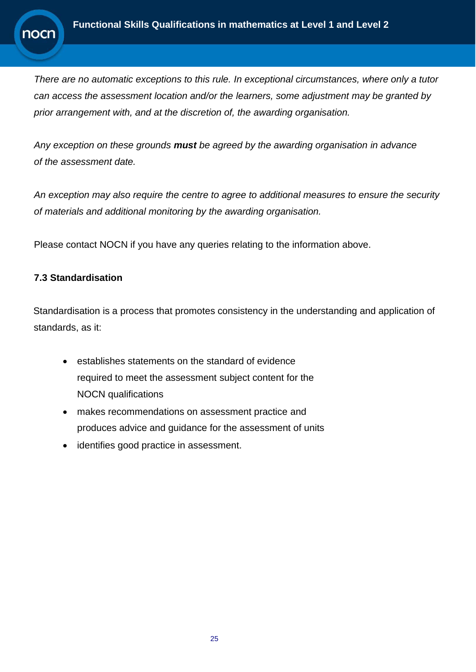

*There are no automatic exceptions to this rule. In exceptional circumstances, where only a tutor can access the assessment location and/or the learners, some adjustment may be granted by prior arrangement with, and at the discretion of, the awarding organisation.* 

*Any exception on these grounds must be agreed by the awarding organisation in advance of the assessment date.*

*An exception may also require the centre to agree to additional measures to ensure the security of materials and additional monitoring by the awarding organisation.*

Please contact NOCN if you have any queries relating to the information above.

#### **7.3 Standardisation**

Standardisation is a process that promotes consistency in the understanding and application of standards, as it:

- establishes statements on the standard of evidence required to meet the assessment subject content for the NOCN qualifications
- makes recommendations on assessment practice and produces advice and guidance for the assessment of units
- identifies good practice in assessment.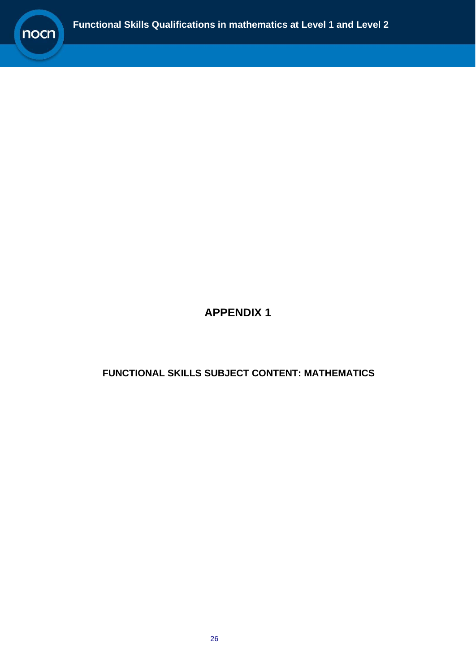

# **APPENDIX 1**

### <span id="page-25-0"></span>**FUNCTIONAL SKILLS SUBJECT CONTENT: MATHEMATICS**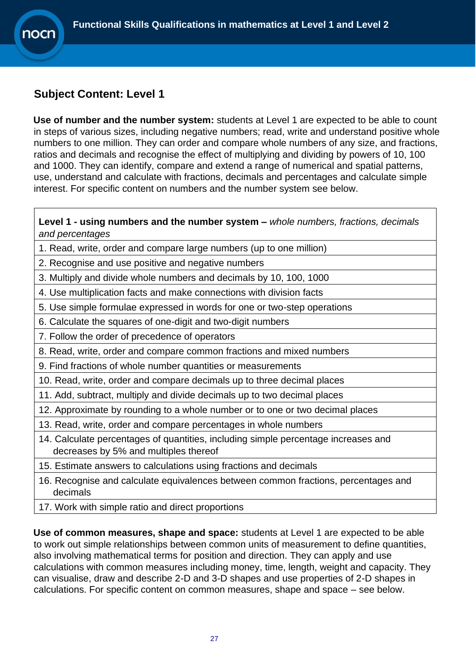# <span id="page-26-0"></span>**Subject Content: Level 1**

**10Cr** 

**Use of number and the number system:** students at Level 1 are expected to be able to count in steps of various sizes, including negative numbers; read, write and understand positive whole numbers to one million. They can order and compare whole numbers of any size, and fractions, ratios and decimals and recognise the effect of multiplying and dividing by powers of 10, 100 and 1000. They can identify, compare and extend a range of numerical and spatial patterns, use, understand and calculate with fractions, decimals and percentages and calculate simple interest. For specific content on numbers and the number system see below.

**Level 1 - using numbers and the number system –** *whole numbers, fractions, decimals and percentages*

- 1. Read, write, order and compare large numbers (up to one million)
- 2. Recognise and use positive and negative numbers
- 3. Multiply and divide whole numbers and decimals by 10, 100, 1000
- 4. Use multiplication facts and make connections with division facts
- 5. Use simple formulae expressed in words for one or two-step operations
- 6. Calculate the squares of one-digit and two-digit numbers
- 7. Follow the order of precedence of operators
- 8. Read, write, order and compare common fractions and mixed numbers
- 9. Find fractions of whole number quantities or measurements
- 10. Read, write, order and compare decimals up to three decimal places
- 11. Add, subtract, multiply and divide decimals up to two decimal places
- 12. Approximate by rounding to a whole number or to one or two decimal places
- 13. Read, write, order and compare percentages in whole numbers
- 14. Calculate percentages of quantities, including simple percentage increases and decreases by 5% and multiples thereof
- 15. Estimate answers to calculations using fractions and decimals
- 16. Recognise and calculate equivalences between common fractions, percentages and decimals
- 17. Work with simple ratio and direct proportions

**Use of common measures, shape and space:** students at Level 1 are expected to be able to work out simple relationships between common units of measurement to define quantities, also involving mathematical terms for position and direction. They can apply and use calculations with common measures including money, time, length, weight and capacity. They can visualise, draw and describe 2-D and 3-D shapes and use properties of 2-D shapes in calculations. For specific content on common measures, shape and space – see below.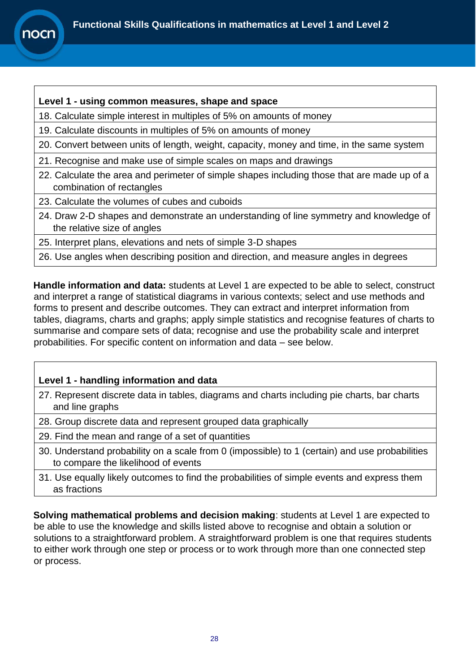

#### **Level 1 - using common measures, shape and space**

18. Calculate simple interest in multiples of 5% on amounts of money

19. Calculate discounts in multiples of 5% on amounts of money

20. Convert between units of length, weight, capacity, money and time, in the same system

- 21. Recognise and make use of simple scales on maps and drawings
- 22. Calculate the area and perimeter of simple shapes including those that are made up of a combination of rectangles
- 23. Calculate the volumes of cubes and cuboids
- 24. Draw 2-D shapes and demonstrate an understanding of line symmetry and knowledge of the relative size of angles
- 25. Interpret plans, elevations and nets of simple 3-D shapes
- 26. Use angles when describing position and direction, and measure angles in degrees

**Handle information and data:** students at Level 1 are expected to be able to select, construct and interpret a range of statistical diagrams in various contexts; select and use methods and forms to present and describe outcomes. They can extract and interpret information from tables, diagrams, charts and graphs; apply simple statistics and recognise features of charts to summarise and compare sets of data; recognise and use the probability scale and interpret probabilities. For specific content on information and data – see below.

#### **Level 1 - handling information and data**

- 27. Represent discrete data in tables, diagrams and charts including pie charts, bar charts and line graphs
- 28. Group discrete data and represent grouped data graphically
- 29. Find the mean and range of a set of quantities
- 30. Understand probability on a scale from 0 (impossible) to 1 (certain) and use probabilities to compare the likelihood of events
- 31. Use equally likely outcomes to find the probabilities of simple events and express them as fractions

**Solving mathematical problems and decision making**: students at Level 1 are expected to be able to use the knowledge and skills listed above to recognise and obtain a solution or solutions to a straightforward problem. A straightforward problem is one that requires students to either work through one step or process or to work through more than one connected step or process.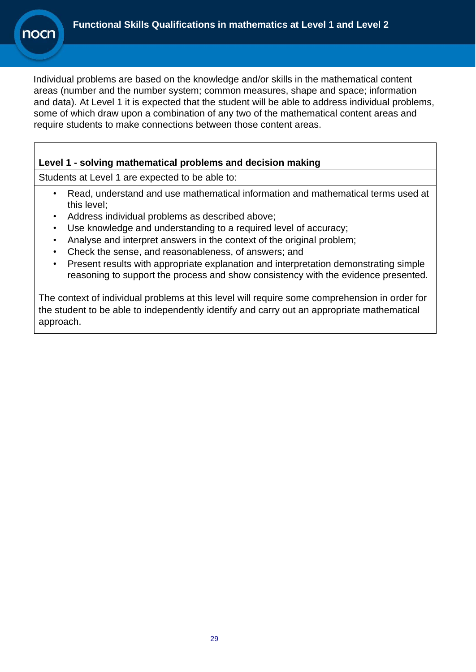Individual problems are based on the knowledge and/or skills in the mathematical content areas (number and the number system; common measures, shape and space; information and data). At Level 1 it is expected that the student will be able to address individual problems, some of which draw upon a combination of any two of the mathematical content areas and require students to make connections between those content areas.

#### **Level 1 - solving mathematical problems and decision making**

Students at Level 1 are expected to be able to:

- Read, understand and use mathematical information and mathematical terms used at this level;
- Address individual problems as described above;
- Use knowledge and understanding to a required level of accuracy;
- Analyse and interpret answers in the context of the original problem;
- Check the sense, and reasonableness, of answers; and
- Present results with appropriate explanation and interpretation demonstrating simple reasoning to support the process and show consistency with the evidence presented.

The context of individual problems at this level will require some comprehension in order for the student to be able to independently identify and carry out an appropriate mathematical approach.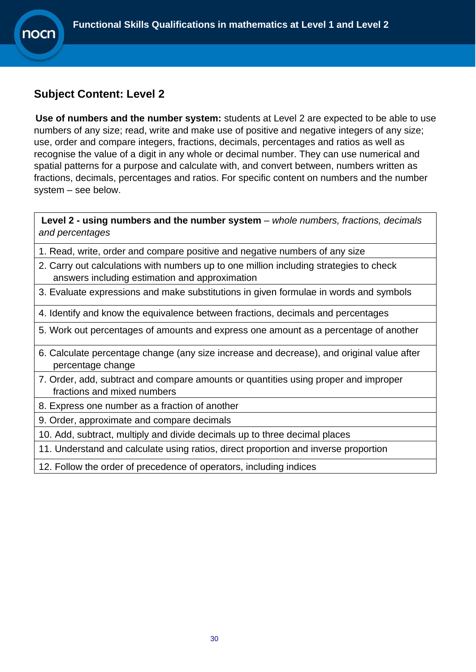# <span id="page-29-0"></span>**Subject Content: Level 2**

10Cr

**Use of numbers and the number system:** students at Level 2 are expected to be able to use numbers of any size; read, write and make use of positive and negative integers of any size; use, order and compare integers, fractions, decimals, percentages and ratios as well as recognise the value of a digit in any whole or decimal number. They can use numerical and spatial patterns for a purpose and calculate with, and convert between, numbers written as fractions, decimals, percentages and ratios. For specific content on numbers and the number system – see below.

**Level 2 - using numbers and the number system** – *whole numbers, fractions, decimals and percentages*

- 1. Read, write, order and compare positive and negative numbers of any size
- 2. Carry out calculations with numbers up to one million including strategies to check answers including estimation and approximation
- 3. Evaluate expressions and make substitutions in given formulae in words and symbols
- 4. Identify and know the equivalence between fractions, decimals and percentages
- 5. Work out percentages of amounts and express one amount as a percentage of another
- 6. Calculate percentage change (any size increase and decrease), and original value after percentage change
- 7. Order, add, subtract and compare amounts or quantities using proper and improper fractions and mixed numbers
- 8. Express one number as a fraction of another
- 9. Order, approximate and compare decimals
- 10. Add, subtract, multiply and divide decimals up to three decimal places
- 11. Understand and calculate using ratios, direct proportion and inverse proportion
- 12. Follow the order of precedence of operators, including indices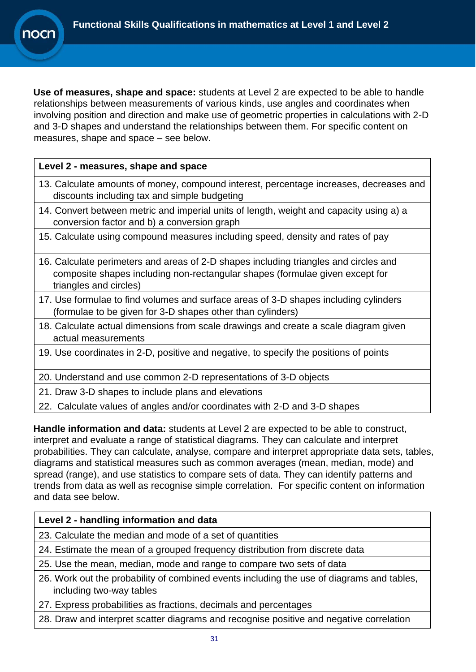**Use of measures, shape and space:** students at Level 2 are expected to be able to handle relationships between measurements of various kinds, use angles and coordinates when involving position and direction and make use of geometric properties in calculations with 2-D and 3-D shapes and understand the relationships between them. For specific content on measures, shape and space – see below.

#### **Level 2 - measures, shape and space**

**10Cr** 

- 13. Calculate amounts of money, compound interest, percentage increases, decreases and discounts including tax and simple budgeting
- 14. Convert between metric and imperial units of length, weight and capacity using a) a conversion factor and b) a conversion graph
- 15. Calculate using compound measures including speed, density and rates of pay
- 16. Calculate perimeters and areas of 2-D shapes including triangles and circles and composite shapes including non-rectangular shapes (formulae given except for triangles and circles)
- 17. Use formulae to find volumes and surface areas of 3-D shapes including cylinders (formulae to be given for 3-D shapes other than cylinders)
- 18. Calculate actual dimensions from scale drawings and create a scale diagram given actual measurements
- 19. Use coordinates in 2-D, positive and negative, to specify the positions of points
- 20. Understand and use common 2-D representations of 3-D objects
- 21. Draw 3-D shapes to include plans and elevations
- 22. Calculate values of angles and/or coordinates with 2-D and 3-D shapes

**Handle information and data:** students at Level 2 are expected to be able to construct, interpret and evaluate a range of statistical diagrams. They can calculate and interpret probabilities. They can calculate, analyse, compare and interpret appropriate data sets, tables, diagrams and statistical measures such as common averages (mean, median, mode) and spread (range), and use statistics to compare sets of data. They can identify patterns and trends from data as well as recognise simple correlation. For specific content on information and data see below.

#### **Level 2 - handling information and data**

- 23. Calculate the median and mode of a set of quantities
- 24. Estimate the mean of a grouped frequency distribution from discrete data
- 25. Use the mean, median, mode and range to compare two sets of data
- 26. Work out the probability of combined events including the use of diagrams and tables, including two-way tables
- 27. Express probabilities as fractions, decimals and percentages
- 28. Draw and interpret scatter diagrams and recognise positive and negative correlation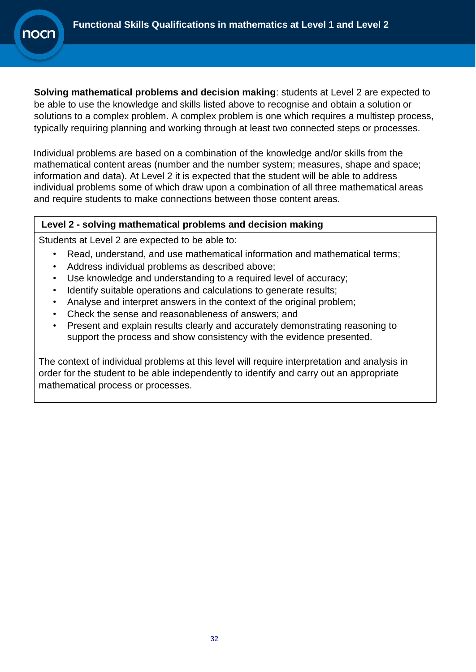**Solving mathematical problems and decision making**: students at Level 2 are expected to be able to use the knowledge and skills listed above to recognise and obtain a solution or solutions to a complex problem. A complex problem is one which requires a multistep process, typically requiring planning and working through at least two connected steps or processes.

Individual problems are based on a combination of the knowledge and/or skills from the mathematical content areas (number and the number system; measures, shape and space; information and data). At Level 2 it is expected that the student will be able to address individual problems some of which draw upon a combination of all three mathematical areas and require students to make connections between those content areas.

#### **Level 2 - solving mathematical problems and decision making**

Students at Level 2 are expected to be able to:

- Read, understand, and use mathematical information and mathematical terms;
- Address individual problems as described above;
- Use knowledge and understanding to a required level of accuracy;
- Identify suitable operations and calculations to generate results;
- Analyse and interpret answers in the context of the original problem:
- Check the sense and reasonableness of answers; and
- Present and explain results clearly and accurately demonstrating reasoning to support the process and show consistency with the evidence presented.

The context of individual problems at this level will require interpretation and analysis in order for the student to be able independently to identify and carry out an appropriate mathematical process or processes.